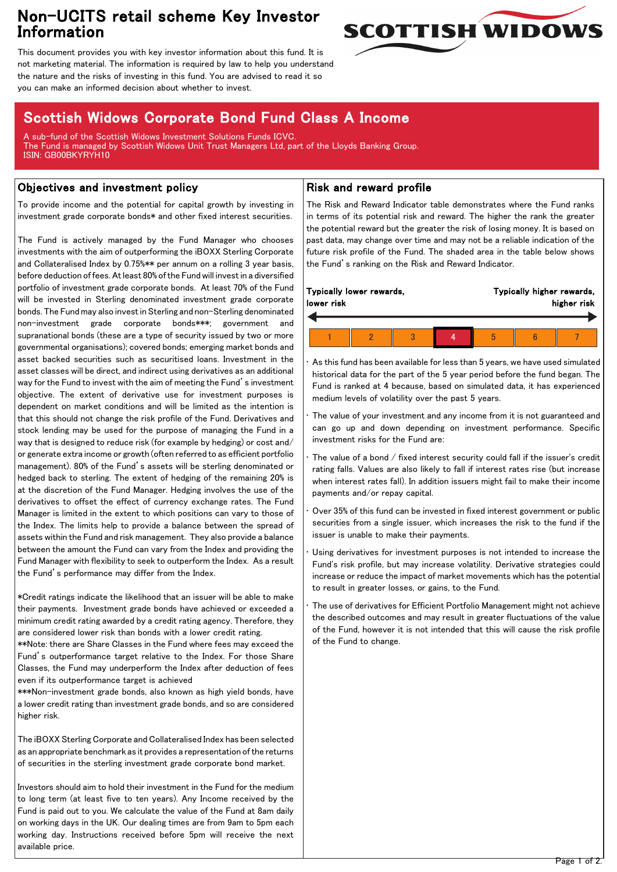## Non-UCITS retail scheme Key Investor Information



This document provides you with key investor information about this fund. It is not marketing material. The information is required by law to help you understand the nature and the risks of investing in this fund. You are advised to read it so you can make an informed decision about whether to invest.

# Scottish Widows Corporate Bond Fund Class A Income

A sub-fund of the Scottish Widows Investment Solutions Funds ICVC. The Fund is managed by Scottish Widows Unit Trust Managers Ltd, part of the Lloyds Banking Group. ISIN: GB00BKYRYH10

### Objectives and investment policy

To provide income and the potential for capital growth by investing in investment grade corporate bonds\* and other fixed interest securities.

The Fund is actively managed by the Fund Manager who chooses investments with the aim of outperforming the iBOXX Sterling Corporate and Collateralised Index by 0.75%\*\* per annum on a rolling 3 year basis, before deduction of fees. At least 80% of the Fund will invest in a diversified portfolio of investment grade corporate bonds. At least 70% of the Fund will be invested in Sterling denominated investment grade corporate bonds. The Fund may also invest in Sterling and non-Sterling denominated non-investment grade corporate bonds\*\*\*; government and supranational bonds (these are a type of security issued by two or more governmental organisations); covered bonds; emerging market bonds and asset backed securities such as securitised loans. Investment in the asset classes will be direct, and indirect using derivatives as an additional way for the Fund to invest with the aim of meeting the Fund's investment objective. The extent of derivative use for investment purposes is dependent on market conditions and will be limited as the intention is that this should not change the risk profile of the Fund. Derivatives and stock lending may be used for the purpose of managing the Fund in a way that is designed to reduce risk (for example by hedging) or cost and/ or generate extra income or growth (often referred to as efficient portfolio management). 80% of the Fund's assets will be sterling denominated or hedged back to sterling. The extent of hedging of the remaining 20% is at the discretion of the Fund Manager. Hedging involves the use of the derivatives to offset the effect of currency exchange rates. The Fund Manager is limited in the extent to which positions can vary to those of the Index. The limits help to provide a balance between the spread of assets within the Fund and risk management. They also provide a balance between the amount the Fund can vary from the Index and providing the Fund Manager with flexibility to seek to outperform the Index. As a result the Fund's performance may differ from the Index.

\*Credit ratings indicate the likelihood that an issuer will be able to make their payments. Investment grade bonds have achieved or exceeded a minimum credit rating awarded by a credit rating agency. Therefore, they are considered lower risk than bonds with a lower credit rating.

\*\*Note: there are Share Classes in the Fund where fees may exceed the Fund's outperformance target relative to the Index. For those Share Classes, the Fund may underperform the Index after deduction of fees even if its outperformance target is achieved

\*\*\*Non-investment grade bonds, also known as high yield bonds, have a lower credit rating than investment grade bonds, and so are considered higher risk.

The iBOXX Sterling Corporate and Collateralised Index has been selected as an appropriate benchmark as it provides a representation of the returns of securities in the sterling investment grade corporate bond market.

Investors should aim to hold their investment in the Fund for the medium to long term (at least five to ten years). Any Income received by the Fund is paid out to you. We calculate the value of the Fund at 8am daily on working days in the UK. Our dealing times are from 9am to 5pm each working day. Instructions received before 5pm will receive the next available price.

### Risk and reward profile

The Risk and Reward Indicator table demonstrates where the Fund ranks in terms of its potential risk and reward. The higher the rank the greater the potential reward but the greater the risk of losing money. It is based on past data, may change over time and may not be a reliable indication of the future risk profile of the Fund. The shaded area in the table below shows the Fund's ranking on the Risk and Reward Indicator.

| Typically lower rewards, |  |  |  | Typically higher rewards, |  |  |
|--------------------------|--|--|--|---------------------------|--|--|
| lower risk               |  |  |  | higher risk               |  |  |
|                          |  |  |  |                           |  |  |

• As this fund has been available for less than 5 years, we have used simulated historical data for the part of the 5 year period before the fund began. The Fund is ranked at 4 because, based on simulated data, it has experienced medium levels of volatility over the past 5 years.

The value of your investment and any income from it is not guaranteed and can go up and down depending on investment performance. Specific investment risks for the Fund are:

- The value of a bond / fixed interest security could fall if the issuer's credit rating falls. Values are also likely to fall if interest rates rise (but increase when interest rates fall). In addition issuers might fail to make their income payments and/or repay capital.
- Over 35% of this fund can be invested in fixed interest government or public securities from a single issuer, which increases the risk to the fund if the issuer is unable to make their payments.

Using derivatives for investment purposes is not intended to increase the Fund's risk profile, but may increase volatility. Derivative strategies could increase or reduce the impact of market movements which has the potential to result in greater losses, or gains, to the Fund.

The use of derivatives for Efficient Portfolio Management might not achieve the described outcomes and may result in greater fluctuations of the value of the Fund, however it is not intended that this will cause the risk profile of the Fund to change.